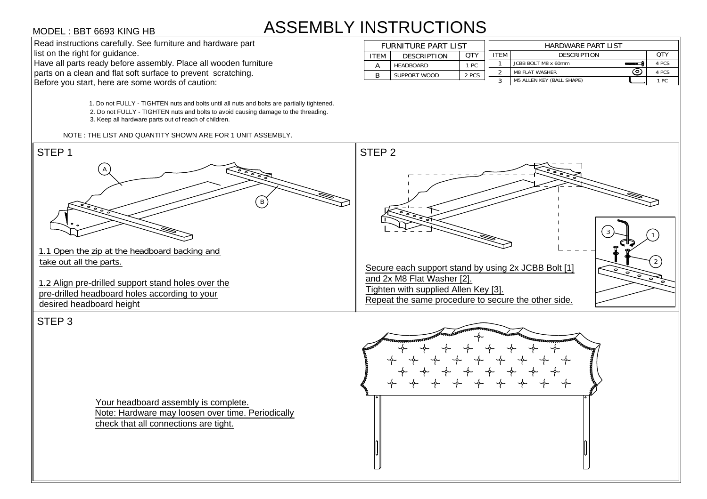## ASSEMBLY INSTRUCTIONS **STRUCTIONS<br>FURNITURE PART LIST<br>ITEM DESCRIPTION QTY**

| <b>INSTRUCTIONS</b> |                     |                     |            |                    |                                  |       |  |  |  |  |  |
|---------------------|---------------------|---------------------|------------|--------------------|----------------------------------|-------|--|--|--|--|--|
|                     | FURNITURE PART LIST |                     |            | HARDWARE PART LIST |                                  |       |  |  |  |  |  |
|                     | <b>ITEM</b>         | <b>DESCRIPTION</b>  | <b>OTY</b> | <b>ITEM</b>        | <b>DESCRIPTION</b>               | QTY   |  |  |  |  |  |
|                     | A                   | <b>HEADBOARD</b>    | 1 PC       |                    | JCBB BOLT M8 x 60mm              | 4 PCS |  |  |  |  |  |
|                     | B                   | <b>SUPPORT WOOD</b> | 2 PCS      | ົ                  | ົ໐<br><b>M8 FLAT WASHER</b>      | 4 PCS |  |  |  |  |  |
|                     |                     |                     |            |                    | <b>M5 ALLEN KEY (BALL SHAPE)</b> | 1 PC  |  |  |  |  |  |



Your headboard assembly is complete. Note: Hardware may loosen over time. Periodically